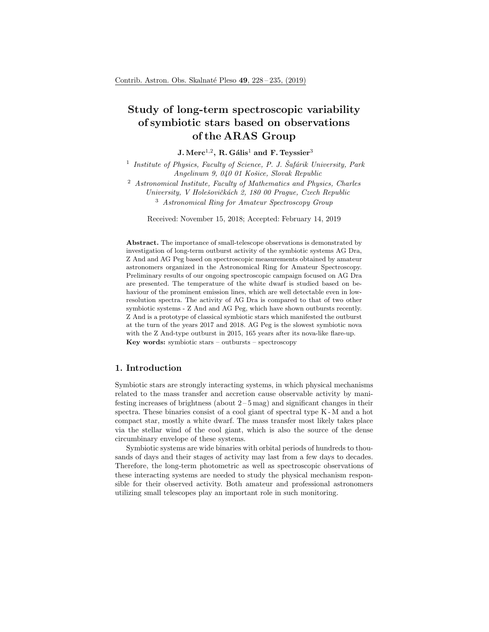# Study of long-term spectroscopic variability of symbiotic stars based on observations of the ARAS Group

## $\rm J. \, Merc^{1,2}, \, R. \, Gális^1$  and  $\rm F. \, Teyssier^3$

<sup>1</sup> Institute of Physics, Faculty of Science, P. J. Šafárik University, Park Angelinum 9, 040 01 Košice, Slovak Republic

<sup>2</sup> Astronomical Institute, Faculty of Mathematics and Physics, Charles University, V Holešovičkách 2, 180 00 Prague, Czech Republic <sup>3</sup> Astronomical Ring for Amateur Spectroscopy Group

Received: November 15, 2018; Accepted: February 14, 2019

Abstract. The importance of small-telescope observations is demonstrated by investigation of long-term outburst activity of the symbiotic systems AG Dra, Z And and AG Peg based on spectroscopic measurements obtained by amateur astronomers organized in the Astronomical Ring for Amateur Spectroscopy. Preliminary results of our ongoing spectroscopic campaign focused on AG Dra are presented. The temperature of the white dwarf is studied based on behaviour of the prominent emission lines, which are well detectable even in lowresolution spectra. The activity of AG Dra is compared to that of two other symbiotic systems - Z And and AG Peg, which have shown outbursts recently. Z And is a prototype of classical symbiotic stars which manifested the outburst at the turn of the years 2017 and 2018. AG Peg is the slowest symbiotic nova with the Z And-type outburst in 2015, 165 years after its nova-like flare-up. Key words: symbiotic stars – outbursts – spectroscopy

# 1. Introduction

Symbiotic stars are strongly interacting systems, in which physical mechanisms related to the mass transfer and accretion cause observable activity by manifesting increases of brightness (about  $2-5$  mag) and significant changes in their spectra. These binaries consist of a cool giant of spectral type K - M and a hot compact star, mostly a white dwarf. The mass transfer most likely takes place via the stellar wind of the cool giant, which is also the source of the dense circumbinary envelope of these systems.

Symbiotic systems are wide binaries with orbital periods of hundreds to thousands of days and their stages of activity may last from a few days to decades. Therefore, the long-term photometric as well as spectroscopic observations of these interacting systems are needed to study the physical mechanism responsible for their observed activity. Both amateur and professional astronomers utilizing small telescopes play an important role in such monitoring.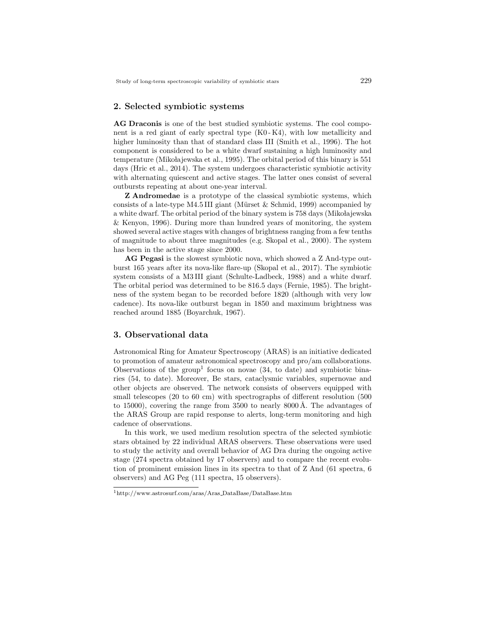### 2. Selected symbiotic systems

AG Draconis is one of the best studied symbiotic systems. The cool component is a red giant of early spectral type (K0 - K4), with low metallicity and higher luminosity than that of standard class III (Smith et al., 1996). The hot component is considered to be a white dwarf sustaining a high luminosity and temperature (Mikołajewska et al., 1995). The orbital period of this binary is 551 days (Hric et al., 2014). The system undergoes characteristic symbiotic activity with alternating quiescent and active stages. The latter ones consist of several outbursts repeating at about one-year interval.

Z Andromedae is a prototype of the classical symbiotic systems, which consists of a late-type M4.5 III giant (Mürset & Schmid, 1999) accompanied by a white dwarf. The orbital period of the binary system is 758 days (Mikołajewska & Kenyon, 1996). During more than hundred years of monitoring, the system showed several active stages with changes of brightness ranging from a few tenths of magnitude to about three magnitudes (e.g. Skopal et al., 2000). The system has been in the active stage since 2000.

AG Pegasi is the slowest symbiotic nova, which showed a Z And-type outburst 165 years after its nova-like flare-up (Skopal et al., 2017). The symbiotic system consists of a M3 III giant (Schulte-Ladbeck, 1988) and a white dwarf. The orbital period was determined to be 816.5 days (Fernie, 1985). The brightness of the system began to be recorded before 1820 (although with very low cadence). Its nova-like outburst began in 1850 and maximum brightness was reached around 1885 (Boyarchuk, 1967).

## 3. Observational data

Astronomical Ring for Amateur Spectroscopy (ARAS) is an initiative dedicated to promotion of amateur astronomical spectroscopy and pro/am collaborations. Observations of the group<sup>1</sup> focus on novae  $(34, t_0)$  date) and symbiotic binaries (54, to date). Moreover, Be stars, cataclysmic variables, supernovae and other objects are observed. The network consists of observers equipped with small telescopes (20 to 60 cm) with spectrographs of different resolution (500 to 15000), covering the range from 3500 to nearly  $8000 \text{ Å}$ . The advantages of the ARAS Group are rapid response to alerts, long-term monitoring and high cadence of observations.

In this work, we used medium resolution spectra of the selected symbiotic stars obtained by 22 individual ARAS observers. These observations were used to study the activity and overall behavior of AG Dra during the ongoing active stage (274 spectra obtained by 17 observers) and to compare the recent evolution of prominent emission lines in its spectra to that of Z And (61 spectra, 6 observers) and AG Peg (111 spectra, 15 observers).

<sup>1</sup>http://www.astrosurf.com/aras/Aras DataBase/DataBase.htm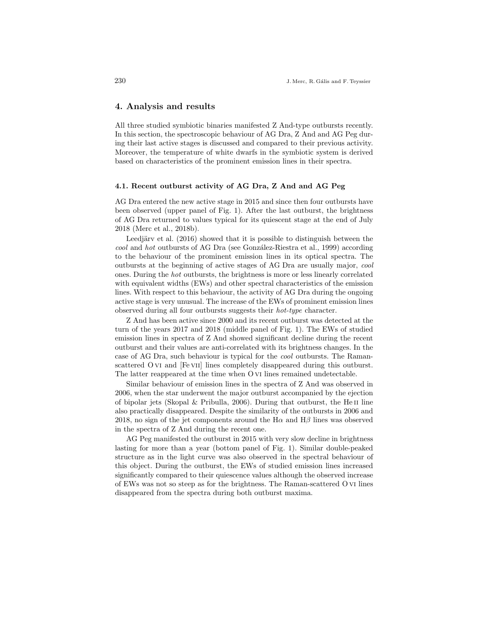### 4. Analysis and results

All three studied symbiotic binaries manifested Z And-type outbursts recently. In this section, the spectroscopic behaviour of AG Dra, Z And and AG Peg during their last active stages is discussed and compared to their previous activity. Moreover, the temperature of white dwarfs in the symbiotic system is derived based on characteristics of the prominent emission lines in their spectra.

### 4.1. Recent outburst activity of AG Dra, Z And and AG Peg

AG Dra entered the new active stage in 2015 and since then four outbursts have been observed (upper panel of Fig. 1). After the last outburst, the brightness of AG Dra returned to values typical for its quiescent stage at the end of July 2018 (Merc et al., 2018b).

Leedjärv et al.  $(2016)$  showed that it is possible to distinguish between the cool and hot outbursts of AG Dra (see González-Riestra et al., 1999) according to the behaviour of the prominent emission lines in its optical spectra. The outbursts at the beginning of active stages of AG Dra are usually major, cool ones. During the hot outbursts, the brightness is more or less linearly correlated with equivalent widths (EWs) and other spectral characteristics of the emission lines. With respect to this behaviour, the activity of AG Dra during the ongoing active stage is very unusual. The increase of the EWs of prominent emission lines observed during all four outbursts suggests their hot-type character.

Z And has been active since 2000 and its recent outburst was detected at the turn of the years 2017 and 2018 (middle panel of Fig. 1). The EWs of studied emission lines in spectra of Z And showed significant decline during the recent outburst and their values are anti-correlated with its brightness changes. In the case of AG Dra, such behaviour is typical for the cool outbursts. The Ramanscattered O VI and [Fe VII] lines completely disappeared during this outburst. The latter reappeared at the time when O vi lines remained undetectable.

Similar behaviour of emission lines in the spectra of Z And was observed in 2006, when the star underwent the major outburst accompanied by the ejection of bipolar jets (Skopal & Pribulla, 2006). During that outburst, the He II line also practically disappeared. Despite the similarity of the outbursts in 2006 and 2018, no sign of the jet components around the  $H\alpha$  and  $H\beta$  lines was observed in the spectra of Z And during the recent one.

AG Peg manifested the outburst in 2015 with very slow decline in brightness lasting for more than a year (bottom panel of Fig. 1). Similar double-peaked structure as in the light curve was also observed in the spectral behaviour of this object. During the outburst, the EWs of studied emission lines increased significantly compared to their quiescence values although the observed increase of EWs was not so steep as for the brightness. The Raman-scattered O vi lines disappeared from the spectra during both outburst maxima.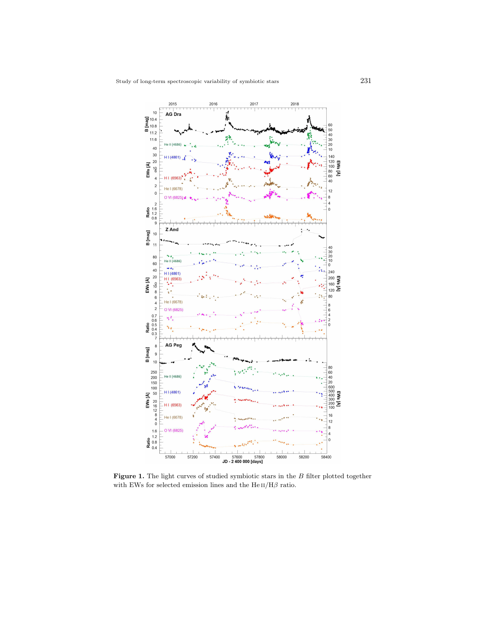

Figure 1. The light curves of studied symbiotic stars in the  $B$  filter plotted together with EWs for selected emission lines and the  ${\rm He\,II/H}\beta$  ratio.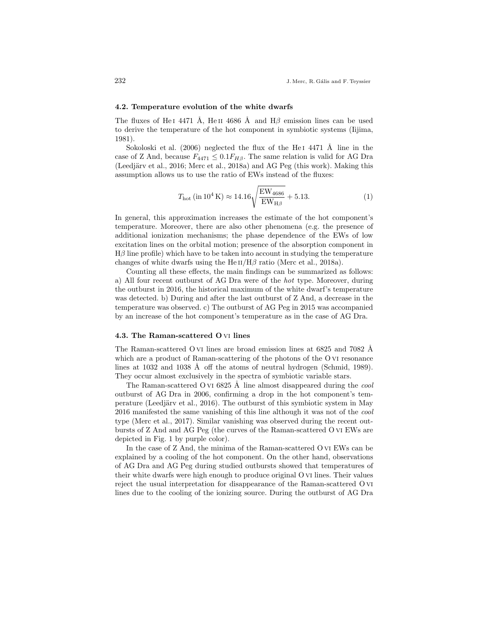#### 4.2. Temperature evolution of the white dwarfs

The fluxes of He<sub>I</sub> 4471 Å, He<sub>II</sub> 4686 Å and H<sub> $\beta$ </sub> emission lines can be used to derive the temperature of the hot component in symbiotic systems (Iijima, 1981).

Sokoloski et al.  $(2006)$  neglected the flux of the He<sub>I</sub> 4471 Å line in the case of Z And, because  $F_{4471} \leq 0.1 F_{H\beta}$ . The same relation is valid for AG Dra (Leedjärv et al., 2016; Merc et al., 2018a) and AG Peg (this work). Making this assumption allows us to use the ratio of EWs instead of the fluxes:

$$
T_{\rm hot} \left( \rm{in} \, 10^4 \, K \right) \approx 14.16 \sqrt{\frac{EW_{\rm 4686}}{EW_{\rm H\beta}}} + 5.13. \tag{1}
$$

In general, this approximation increases the estimate of the hot component's temperature. Moreover, there are also other phenomena (e.g. the presence of additional ionization mechanisms; the phase dependence of the EWs of low excitation lines on the orbital motion; presence of the absorption component in  $H\beta$  line profile) which have to be taken into account in studying the temperature changes of white dwarfs using the He  $\text{II/H}\beta$  ratio (Merc et al., 2018a).

Counting all these effects, the main findings can be summarized as follows: a) All four recent outburst of AG Dra were of the hot type. Moreover, during the outburst in 2016, the historical maximum of the white dwarf's temperature was detected. b) During and after the last outburst of Z And, a decrease in the temperature was observed. c) The outburst of AG Peg in 2015 was accompanied by an increase of the hot component's temperature as in the case of AG Dra.

#### 4.3. The Raman-scattered O vi lines

The Raman-scattered O vi lines are broad emission lines at 6825 and 7082 Å which are a product of Raman-scattering of the photons of the O vi resonance lines at 1032 and 1038 Å off the atoms of neutral hydrogen (Schmid, 1989). They occur almost exclusively in the spectra of symbiotic variable stars.

The Raman-scattered O vi 6825 Å line almost disappeared during the *cool* outburst of AG Dra in 2006, confirming a drop in the hot component's temperature (Leedjärv et al., 2016). The outburst of this symbiotic system in May 2016 manifested the same vanishing of this line although it was not of the cool type (Merc et al., 2017). Similar vanishing was observed during the recent outbursts of Z And and AG Peg (the curves of the Raman-scattered O vi EWs are depicted in Fig. 1 by purple color).

In the case of Z And, the minima of the Raman-scattered O vi EWs can be explained by a cooling of the hot component. On the other hand, observations of AG Dra and AG Peg during studied outbursts showed that temperatures of their white dwarfs were high enough to produce original O vi lines. Their values reject the usual interpretation for disappearance of the Raman-scattered O vi lines due to the cooling of the ionizing source. During the outburst of AG Dra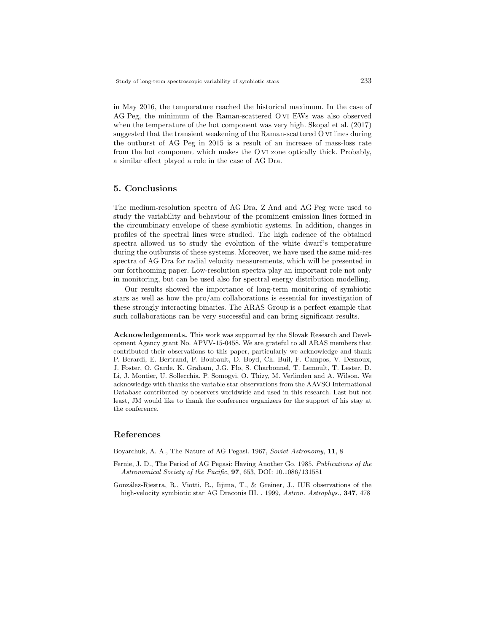in May 2016, the temperature reached the historical maximum. In the case of AG Peg, the minimum of the Raman-scattered O vi EWs was also observed when the temperature of the hot component was very high. Skopal et al. (2017) suggested that the transient weakening of the Raman-scattered O vi lines during the outburst of AG Peg in 2015 is a result of an increase of mass-loss rate from the hot component which makes the O vi zone optically thick. Probably, a similar effect played a role in the case of AG Dra.

# 5. Conclusions

The medium-resolution spectra of AG Dra, Z And and AG Peg were used to study the variability and behaviour of the prominent emission lines formed in the circumbinary envelope of these symbiotic systems. In addition, changes in profiles of the spectral lines were studied. The high cadence of the obtained spectra allowed us to study the evolution of the white dwarf's temperature during the outbursts of these systems. Moreover, we have used the same mid-res spectra of AG Dra for radial velocity measurements, which will be presented in our forthcoming paper. Low-resolution spectra play an important role not only in monitoring, but can be used also for spectral energy distribution modelling.

Our results showed the importance of long-term monitoring of symbiotic stars as well as how the pro/am collaborations is essential for investigation of these strongly interacting binaries. The ARAS Group is a perfect example that such collaborations can be very successful and can bring significant results.

Acknowledgements. This work was supported by the Slovak Research and Development Agency grant No. APVV-15-0458. We are grateful to all ARAS members that contributed their observations to this paper, particularly we acknowledge and thank P. Berardi, E. Bertrand, F. Boubault, D. Boyd, Ch. Buil, F. Campos, V. Desnoux, J. Foster, O. Garde, K. Graham, J.G. Flo, S. Charbonnel, T. Lemoult, T. Lester, D. Li, J. Montier, U. Sollecchia, P. Somogyi, O. Thizy, M. Verlinden and A. Wilson. We acknowledge with thanks the variable star observations from the AAVSO International Database contributed by observers worldwide and used in this research. Last but not least, JM would like to thank the conference organizers for the support of his stay at the conference.

# References

Boyarchuk, A. A., The Nature of AG Pegasi. 1967, Soviet Astronomy, 11, 8

- Fernie, J. D., The Period of AG Pegasi: Having Another Go. 1985, Publications of the Astronomical Society of the Pacific, 97, 653, DOI: 10.1086/131581
- González-Riestra, R., Viotti, R., Iijima, T., & Greiner, J., IUE observations of the high-velocity symbiotic star AG Draconis III. . 1999, Astron. Astrophys., **347**, 478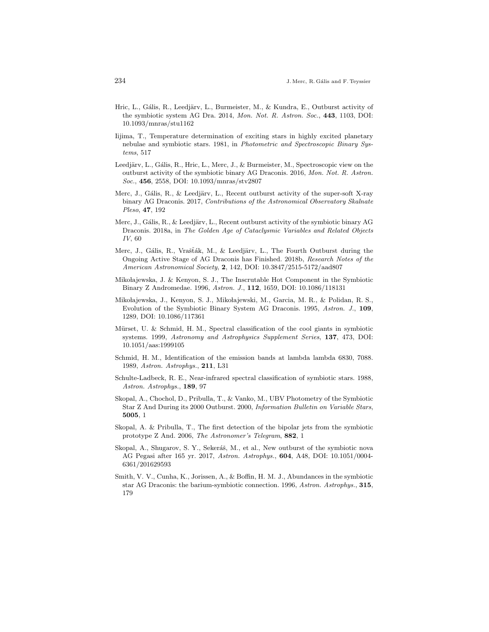- Hric, L., Gális, R., Leedjärv, L., Burmeister, M., & Kundra, E., Outburst activity of the symbiotic system AG Dra. 2014, Mon. Not. R. Astron. Soc., 443, 1103, DOI: 10.1093/mnras/stu1162
- Iijima, T., Temperature determination of exciting stars in highly excited planetary nebulae and symbiotic stars. 1981, in Photometric and Spectroscopic Binary Systems, 517
- Leedjärv, L., Gális, R., Hric, L., Merc, J., & Burmeister, M., Spectroscopic view on the outburst activity of the symbiotic binary AG Draconis. 2016, Mon. Not. R. Astron. Soc., 456, 2558, DOI: 10.1093/mnras/stv2807
- Merc, J., Gális, R., & Leedjärv, L., Recent outburst activity of the super-soft X-ray binary AG Draconis. 2017, Contributions of the Astronomical Observatory Skalnate Pleso, 47, 192
- Merc, J., Gális, R., & Leedjärv, L., Recent outburst activity of the symbiotic binary AG Draconis. 2018a, in The Golden Age of Cataclysmic Variables and Related Objects IV, 60
- Merc, J., Gális, R., Vrašťák, M., & Leedjärv, L., The Fourth Outburst during the Ongoing Active Stage of AG Draconis has Finished. 2018b, Research Notes of the American Astronomical Society, 2, 142, DOI: 10.3847/2515-5172/aad807
- Miko lajewska, J. & Kenyon, S. J., The Inscrutable Hot Component in the Symbiotic Binary Z Andromedae. 1996, Astron. J., 112, 1659, DOI: 10.1086/118131
- Miko lajewska, J., Kenyon, S. J., Miko lajewski, M., Garcia, M. R., & Polidan, R. S., Evolution of the Symbiotic Binary System AG Draconis. 1995, Astron. J., 109, 1289, DOI: 10.1086/117361
- Mürset, U. & Schmid, H. M., Spectral classification of the cool giants in symbiotic systems. 1999, Astronomy and Astrophysics Supplement Series, 137, 473, DOI: 10.1051/aas:1999105
- Schmid, H. M., Identification of the emission bands at lambda lambda 6830, 7088. 1989, Astron. Astrophys., 211, L31
- Schulte-Ladbeck, R. E., Near-infrared spectral classification of symbiotic stars. 1988, Astron. Astrophys., 189, 97
- Skopal, A., Chochol, D., Pribulla, T., & Vanko, M., UBV Photometry of the Symbiotic Star Z And During its 2000 Outburst. 2000, Information Bulletin on Variable Stars, 5005, 1
- Skopal, A. & Pribulla, T., The first detection of the bipolar jets from the symbiotic prototype Z And. 2006, The Astronomer's Telegram, 882, 1
- Skopal, A., Shugarov, S. Y., Sekeráš, M., et al., New outburst of the symbiotic nova AG Pegasi after 165 yr. 2017, Astron. Astrophys., 604, A48, DOI: 10.1051/0004- 6361/201629593
- Smith, V. V., Cunha, K., Jorissen, A., & Boffin, H. M. J., Abundances in the symbiotic star AG Draconis: the barium-symbiotic connection. 1996, Astron. Astrophys., 315, 179